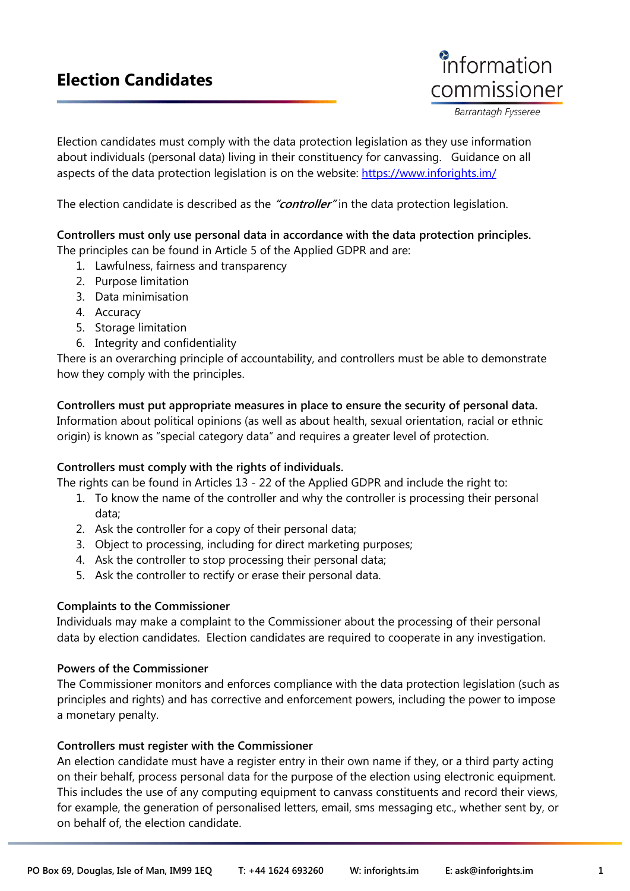# **Election Candidates**



Barrantagh Fysseree

Election candidates must comply with the data protection legislation as they use information about individuals (personal data) living in their constituency for canvassing. Guidance on all aspects of the data protection legislation is on the website:<https://www.inforights.im/>

The election candidate is described as the **"controller"** in the data protection legislation.

## **Controllers must only use personal data in accordance with the data protection principles.**

The principles can be found in Article 5 of the Applied GDPR and are:

- 1. Lawfulness, fairness and transparency
- 2. Purpose limitation
- 3. Data minimisation
- 4. Accuracy
- 5. Storage limitation
- 6. Integrity and confidentiality

There is an overarching principle of accountability, and controllers must be able to demonstrate how they comply with the principles.

# **Controllers must put appropriate measures in place to ensure the security of personal data.**

Information about political opinions (as well as about health, sexual orientation, racial or ethnic origin) is known as "special category data" and requires a greater level of protection.

#### **Controllers must comply with the rights of individuals.**

The rights can be found in Articles 13 - 22 of the Applied GDPR and include the right to:

- 1. To know the name of the controller and why the controller is processing their personal data;
- 2. Ask the controller for a copy of their personal data;
- 3. Object to processing, including for direct marketing purposes;
- 4. Ask the controller to stop processing their personal data;
- 5. Ask the controller to rectify or erase their personal data.

#### **Complaints to the Commissioner**

Individuals may make a complaint to the Commissioner about the processing of their personal data by election candidates. Election candidates are required to cooperate in any investigation.

#### **Powers of the Commissioner**

The Commissioner monitors and enforces compliance with the data protection legislation (such as principles and rights) and has corrective and enforcement powers, including the power to impose a monetary penalty.

#### **Controllers must register with the Commissioner**

An election candidate must have a register entry in their own name if they, or a third party acting on their behalf, process personal data for the purpose of the election using electronic equipment. This includes the use of any computing equipment to canvass constituents and record their views, for example, the generation of personalised letters, email, sms messaging etc., whether sent by, or on behalf of, the election candidate.